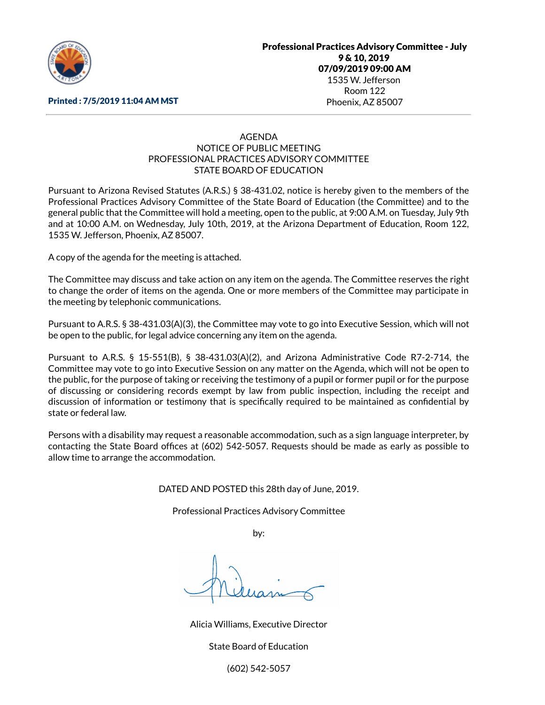

#### Printed : 7/5/2019 11:04 AM MST

# AGENDA NOTICE OF PUBLIC MEETING PROFESSIONAL PRACTICES ADVISORY COMMITTEE STATE BOARD OF EDUCATION

Pursuant to Arizona Revised Statutes (A.R.S.) § 38-431.02, notice is hereby given to the members of the Professional Practices Advisory Committee of the State Board of Education (the Committee) and to the general public that the Committee will hold a meeting, open to the public, at 9:00 A.M. on Tuesday, July 9th and at 10:00 A.M. on Wednesday, July 10th, 2019, at the Arizona Department of Education, Room 122, 1535 W. Jefferson, Phoenix, AZ 85007.

A copy of the agenda for the meeting is attached.

The Committee may discuss and take action on any item on the agenda. The Committee reserves the right to change the order of items on the agenda. One or more members of the Committee may participate in the meeting by telephonic communications.

Pursuant to A.R.S. § 38-431.03(A)(3), the Committee may vote to go into Executive Session, which will not be open to the public, for legal advice concerning any item on the agenda.

Pursuant to A.R.S. § 15-551(B), § 38-431.03(A)(2), and Arizona Administrative Code R7-2-714, the Committee may vote to go into Executive Session on any matter on the Agenda, which will not be open to the public, for the purpose of taking or receiving the testimony of a pupil or former pupil or for the purpose of discussing or considering records exempt by law from public inspection, including the receipt and discussion of information or testimony that is specifically required to be maintained as confidential by state or federal law.

Persons with a disability may request a reasonable accommodation, such as a sign language interpreter, by contacting the State Board offices at (602) 542-5057. Requests should be made as early as possible to allow time to arrange the accommodation.

DATED AND POSTED this 28th day of June, 2019.

Professional Practices Advisory Committee

by:

Alicia Williams, Executive Director

State Board of Education

(602) 542-5057